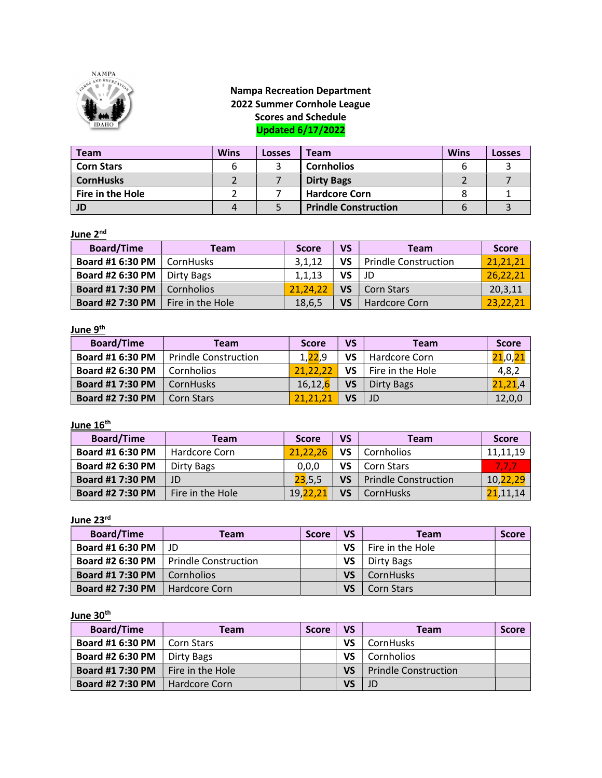

#### Nampa Recreation Department 2022 Summer Cornhole League Scores and Schedule Updated 6/17/2022

| <b>Team</b>       | <b>Wins</b> | Losses | <b>Team</b>                 | <b>Wins</b> | Losses |
|-------------------|-------------|--------|-----------------------------|-------------|--------|
| <b>Corn Stars</b> |             |        | <b>Cornholios</b>           | b           |        |
| <b>CornHusks</b>  |             |        | <b>Dirty Bags</b>           |             |        |
| Fire in the Hole  |             |        | <b>Hardcore Corn</b>        |             |        |
| JD                | 4           |        | <b>Prindle Construction</b> | 6           |        |

#### June 2<sup>nd</sup>

| <b>Board/Time</b>       | Team              | <b>Score</b> | <b>VS</b> | <b>Team</b>                 | <b>Score</b> |
|-------------------------|-------------------|--------------|-----------|-----------------------------|--------------|
| Board #1 6:30 PM        | CornHusks         | 3,1,12       | VS        | <b>Prindle Construction</b> | 21,21,21     |
| Board #2 6:30 PM        | Dirty Bags        | 1,1,13       | VS        | JD                          | 26,22,21     |
| <b>Board #1 7:30 PM</b> | <b>Cornholios</b> | 21.24.22     | VS        | <b>Corn Stars</b>           | 20,3,11      |
| <b>Board #2 7:30 PM</b> | Fire in the Hole  | 18,6,5       | VS        | Hardcore Corn               | 23,22,21     |

#### <u>June 9<sup>th</sup></u>

| <b>Board/Time</b>       | Team                        | <b>Score</b>          | VS. | Team             | <b>Score</b>                        |
|-------------------------|-----------------------------|-----------------------|-----|------------------|-------------------------------------|
| Board #1 6:30 PM        | <b>Prindle Construction</b> | 1.22.9                | VS  | Hardcore Corn    | <mark>21</mark> ,0, <mark>2:</mark> |
| Board #2 6:30 PM        | Cornholios                  | 21.22.21              | VS  | Fire in the Hole | 4,8,2                               |
| Board #1 7:30 PM        | <b>CornHusks</b>            | 16,12, <mark>6</mark> | VS  | Dirty Bags       | 21,21,4                             |
| <b>Board #2 7:30 PM</b> | <b>Corn Stars</b>           | 21.21.2               | VS  |                  | 12,0,0                              |

## June  $16<sup>th</sup>$

| <b>Board/Time</b>       | Team             | <b>Score</b> | VS  | <b>Team</b>                 | <b>Score</b>    |
|-------------------------|------------------|--------------|-----|-----------------------------|-----------------|
| <b>Board #1 6:30 PM</b> | Hardcore Corn    | 21.22.26     | VS  | Cornholios                  | 11,11,19        |
| Board #2 6:30 PM        | Dirty Bags       | 0,0,0        | VS  | Corn Stars                  |                 |
| <b>Board #1 7:30 PM</b> | JD               | 23,5,5       | VS. | <b>Prindle Construction</b> | 10, 22, 29      |
| Board #2 7:30 PM        | Fire in the Hole | 19,22,2      | VS  | CornHusks                   | <b>21,11,14</b> |

### June 23rd

| <b>Board/Time</b>       | Team                 | <b>Score</b> | <b>VS</b> | <b>Team</b>       | <b>Score</b> |
|-------------------------|----------------------|--------------|-----------|-------------------|--------------|
| Board #1 6:30 PM        | -ID                  |              | VS        | Fire in the Hole  |              |
| <b>Board #2 6:30 PM</b> | Prindle Construction |              | VS        | Dirty Bags        |              |
| <b>Board #1 7:30 PM</b> | Cornholios           |              | <b>VS</b> | CornHusks         |              |
| <b>Board #2 7:30 PM</b> | <b>Hardcore Corn</b> |              | VS        | <b>Corn Stars</b> |              |

## June 30<sup>th</sup>

| <b>Board/Time</b>       | Team                    | <b>Score</b> | VS | Team                        | <b>Score</b> |
|-------------------------|-------------------------|--------------|----|-----------------------------|--------------|
| <b>Board #1 6:30 PM</b> | Corn Stars              |              | VS | CornHusks                   |              |
| Board #2 6:30 PM        | Dirty Bags              |              | VS | Cornholios                  |              |
| <b>Board #1 7:30 PM</b> | $\Box$ Fire in the Hole |              | VS | <b>Prindle Construction</b> |              |
| Board #2 7:30 PM        | Hardcore Corn           |              | VS |                             |              |